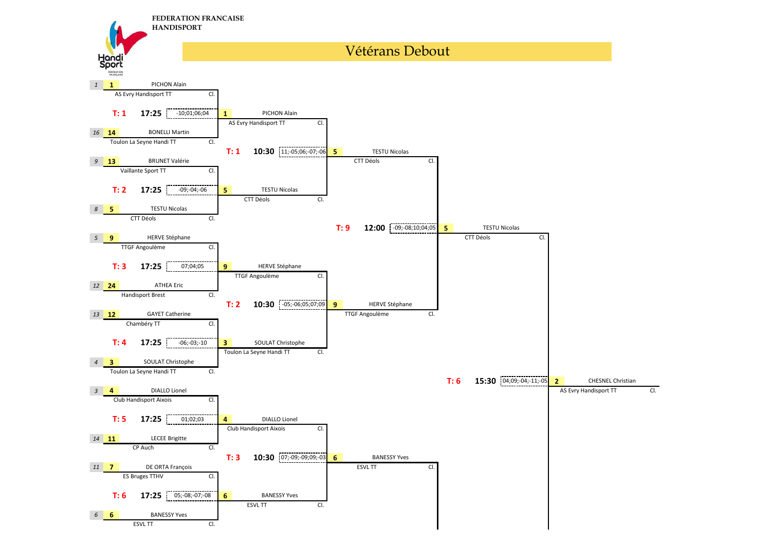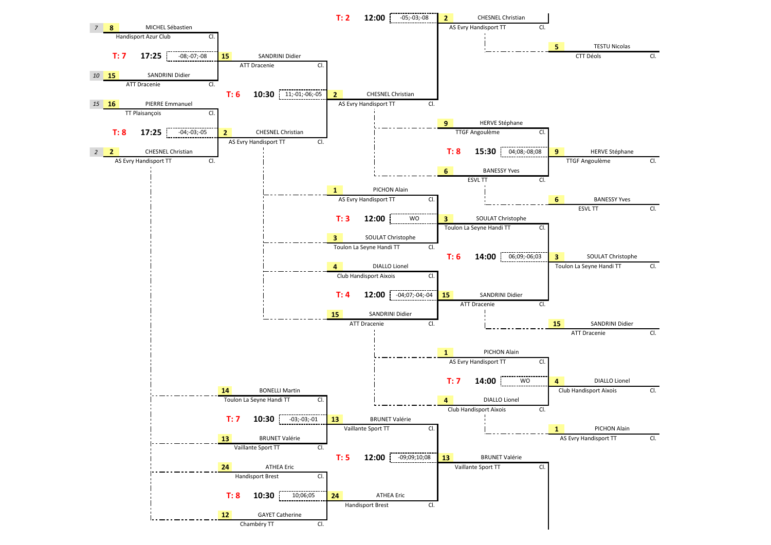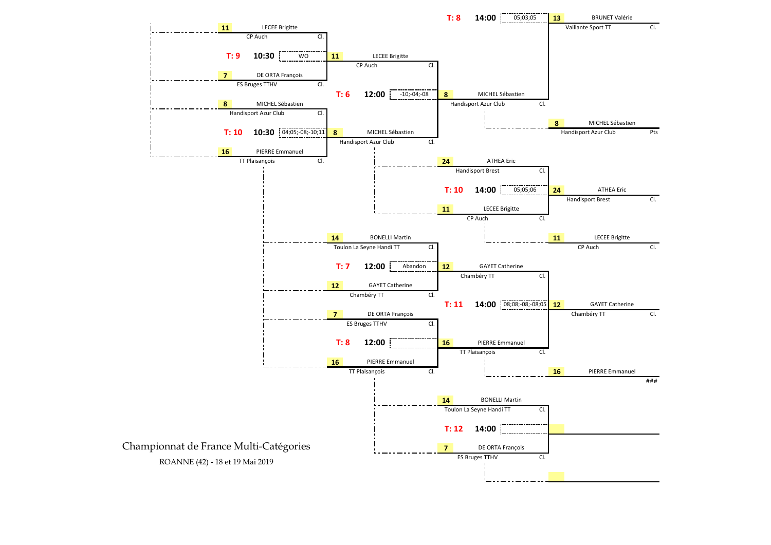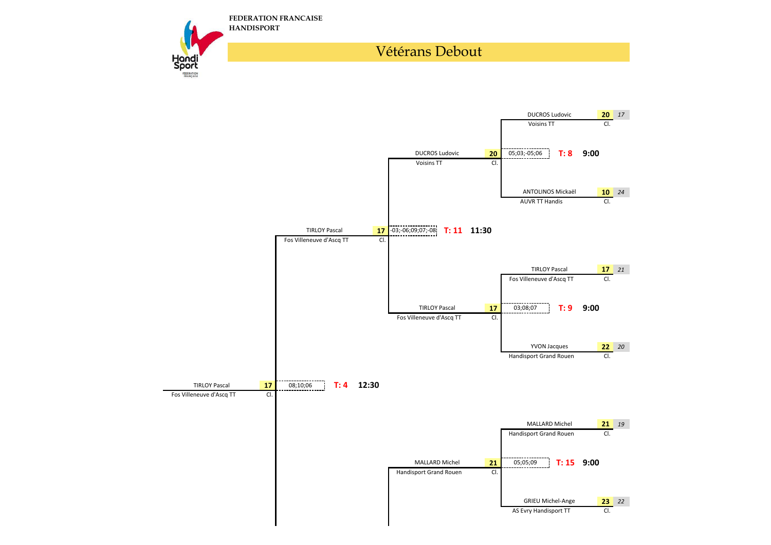

## Vétérans Debout